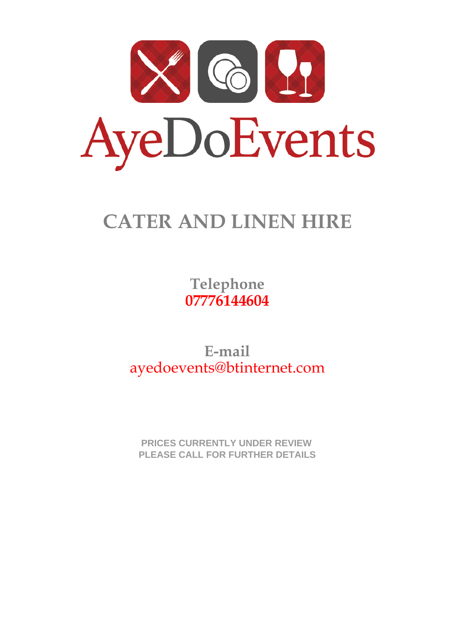

# **CATER AND LINEN HIRE**

**Telephone 07776144604**

**E-mail** ayedoevents@btinternet.com

PRICES CURRENTLY UNDER REVIEW  **PRICES CURRENTLY UNDER REVIEW PLEASE CALL FOR FURTHER DETAILS**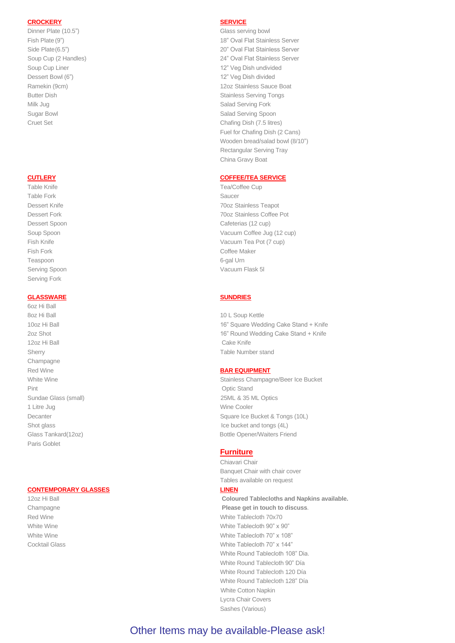### **CROCKERY** each  $\overline{S}$  service  $\overline{S}$  and  $\overline{S}$  services  $\overline{S}$

Dinner Plate (10.5") 18p Glass serving bowl 1.000 Glass serving bowl Dessert Bowl (6") 12" Veg Dish divided 0.900 12" Veg Dish divided 0.900 12" Veg Dish divided 0.900 12" Veg Dish divided 0.900 12" Veg Dish divided 0.900 12" Veg Dish divided 0.900 12" Veg Dish divided 0.900 12" Veg Dish di Milk Jug 60 between 1980 Salad Serving Fork 0.255 Salad Serving Fork 0.255 Salad Serving Fork

Table Knife 18p Tea/Coffee Cup Serving Fork

## **GLASSWARE each interval of the SUNDRIES**

6oz Hi Ball 8oz Hi Ball 18p 10 L Soup Kettle 13.000 Kettle 13.000 Kettle 13.000 Kettle 13.000 Kettle 13.000 Kettle 13.000 Kettle 13.000 Kettle 13.000 Kettle 13.000 Kettle 13.000 Kettle 13.000 Kettle 13.000 Kettle 13.000 Kettle 13.000 Sherry 18p Table Number stand 0.900 Sherry 18p Table Number stand 0.900 Sherry 18p Table Number stand 0.900 Sherry 18p Table Number stand 0.900 Sherry 18p Table Number stand 0.900 Sherry 19p Table Number stand 0.900 Sherry Champagne Red Wine **BAR EQUIPMENT** Paris Goblet

# **CONTEMPORARY GLASSES**

Fish Plate (9") 18th Plate (9") 18p 18th Plate (9") 18p 18th Plat Stainless Server 1.2009 Side Plate(6.5") 18p 20" Oval Flat Stainless Server 1.20" Oval Flat Stainless Server Soup Cup (2 Handles) 18p 24" Oval Flat Stainless Server Soup Cup Liner 12" Veg Dish undivided Ramekin (9cm) 20p 12oz Stainless Sauce Boat 0.655 and 0.655 and 0.655 and 0.655 and 0.655 and 0.655 and 0.655 and 0.655 and 0.655 and 0.655 and 0.655 and 0.655 and 0.655 and 0.655 and 0.655 and 0.655 and 0.655 and 0.655 an **Butter Dish 200 Stainless Serving Tongs** 200 Stainless Serving Tongs 0.300 Stainless Serving Tongs 0.300 Stainless Serving Tongs 0.300 Stainless Serving Tongs 0.300 Stainless Serving Tongs 0.300 Stainless Serving Tongs 0. Sugar Bowl 60p Sugar Bowl 60p Salad Serving Spoon 60p Salad Serving Spoon Cruet Set 60p Cruet Set 60p Chafing Dish (7.5 litres) 10.000 Chafing Dish (7.5 litres) Fuel for Chafing Dish (2 Cans) Wooden bread/salad bowl (8/10") Rectangular Serving Tray China Gravy Boat

### **CUTLERY EXECUTE: A COFFEE/TEA SERVICE**

Table Fork 18p Saucer 18p Saucer 18p Saucer 18p Saucer 18p Saucer 18p Saucer 18p Saucer 18p Saucer 18p Saucer 18p Saucer 18p Saucer 18p Saucer 18p Saucer 18p Saucer 18p Saucer 18p Saucer 18p Saucer 18p Saucer 18p Saucer 18 Dessert Knife 18p 70oz Stainless Teapot Dessert Fork 18p 70oz Stainless Coffee Pot Dessert Spoon 18p Cafeterias (12 cup) 2.40. Soup Spoon 18p Vacuum Coffee Jug (12 cup) 1.500 Vacuum Coffee Jug (12 cup) 1.500 Vacuum Coffee Jug (12 cup) 1.500 Vacuum Coffee Jug (12 cup) Fish Knife 18p Vacuum Tea Pot (7 cup) 1.000 Vacuum Tea Pot (7 cup) 1.000 Vacuum Tea Pot (7 cup) 1.000 Vacuum Tea Pot (7 cup) 1.000 Vacuum Tea Pot (7 cup) 1.000 Vacuum Tea Pot (7 cup) 1.000 Vacuum Tea Pot (7 cup) 1.000 Vacu Fish Fork 18p Coffee Maker 18p Coffee Maker 15.000 Fish Fork 18p Coffee Maker 15.000 Fish Fork 15.000 Fish 15.000 Fish 15.000 Fish 15.000 Fish 15.000 Fish 15.000 Fish 15.000 Fish 15.000 Fish 15.000 Fish 15.000 Fish 15.000 Teaspoon 18p 6-gal Urn 8.000 Million 18p 6-gal Urn 8.000 Million 18p 6-gal Urn 8.000 Million 18p 6-gal Urn 8.000 Mi Serving Spoon 18p Vacuum Flask 5l 5.000 Vacuum Flask 5l 5.000 Vacuum Flask 5l 5.000 Vacuum Flask 5l 5.000 Vacuum Flask 5l 5.000 Vacuum Flask 5l 5.000 Vacuum Flask 5l 5.000 Vacuum Flask 5l 5.000 Vacuum Flask 5l 5.000 Vacuum

10oz Hi Ball 18p 16" Square Wedding Cake Stand + Knife 17.00 2oz Shot 18p 16 16 16 16 16 16 16 16 17:00 16 16" Round Wedding Cake Stand + Knife 17.000 16 17.000 16 17.000 1 12oz Hi Ball 18p Cake Knife 1.755 Australian 18p Cake Knife 1.755 Australian 18p Cake Knife 1.755 Australian 1

White Wine 18p Stainless Champagne/Beer Ice Bucket 6.500 Stainless Champagne/Beer Ice Bucket Pint 18p Optic Stand 6.000 Pint 18pm of the United Stand 6.000 Pint 18pm of the United Stand 6.000 Pint 18pm of the United Stands 6.000 Pint 18pm of the United Stands 6.000 Pint 18pm of the United Stands 6.000 Pint 18pm of Sundae Glass (small) 25ML & 35 ML Optics 0.655 ML 1 Litre Jug 60 Publishers and the Cooler 1.500 Wine Cooler 1.500 Publishers and the Cooler 1.500 Publishers and the Cooler 1.500 Publishers and the Cooler 1.500 Publishers and the Cooler 1.500 Publishers and the Cooler 1.5 Decanter 90p Square Ice Bucket & Tongs (10L) 2.000 Square Ice Bucket & Tongs (10L) Shot glass 18p Ice bucket and tongs (4L) Glass Tankard(12oz) 18p Bottle Opener/Waiters Friend

### **Furniture**

Chiavari Chair Banquet Chair with chair cover Tables available on request 12oz Hi Ball 25p **Coloured Tablecloths and Napkins available. Champagne** 25**p** Please get in touch to discuss. Red Wine 25p White Tablecloth 70x70 White Wine 25p White Tablecloth 90" x 90" 6.000 Million White Tablecloth 90" x 90" White Wine 25p White Tablecloth 70" x 108" Cocktail Glass 20p White Tablecloth 70" x 144" White Round Tablecloth 108" Dia. White Round Tablecloth 90" Día White Round Tablecloth 120 Día White Round Tablecloth 128" Día White Cotton Napkin Lycra Chair Covers Sashes (Various)

# Other Items may be available-Please ask!